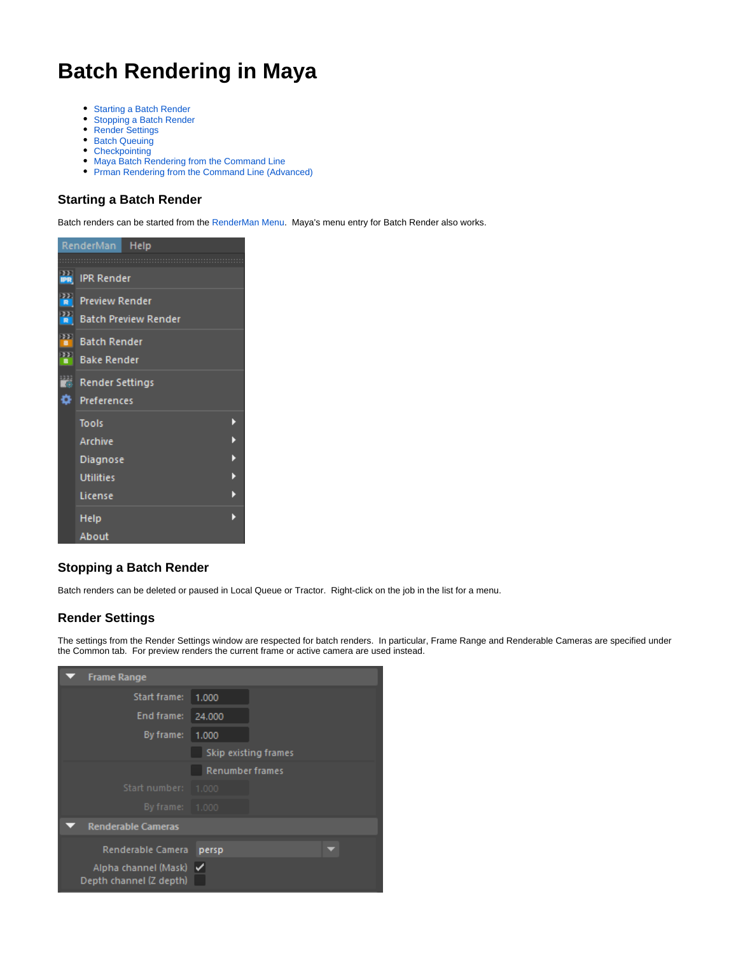# **Batch Rendering in Maya**

- [Starting a Batch Render](#page-0-0)
- $\bullet$ [Stopping a Batch Render](#page-0-1)
- [Render Settings](#page-0-2)
- [Batch Queuing](#page-0-3)
- [Checkpointing](#page-2-0)
- [Maya Batch Rendering from the Command Line](#page-2-1)
- [Prman Rendering from the Command Line \(Advanced\)](#page-2-2)

# <span id="page-0-0"></span>**Starting a Batch Render**

Batch renders can be started from the [RenderMan Menu](https://rmanwiki.pixar.com/display/RFM22/RenderMan+Menu). Maya's menu entry for Batch Render also works.

| Help<br>RenderMan       |                             |  |  |  |  |  |  |  |
|-------------------------|-----------------------------|--|--|--|--|--|--|--|
|                         |                             |  |  |  |  |  |  |  |
|                         | <b>PR</b> IPR Render        |  |  |  |  |  |  |  |
| $\mathbf{r}$            | <b>Preview Render</b>       |  |  |  |  |  |  |  |
| $\mathbf{r}$            | <b>Batch Preview Render</b> |  |  |  |  |  |  |  |
| H                       | <b>Batch Render</b>         |  |  |  |  |  |  |  |
| $\overline{\mathbf{r}}$ | <b>Bake Render</b>          |  |  |  |  |  |  |  |
| ira.                    | Render Settings             |  |  |  |  |  |  |  |
| o                       | <b>Preferences</b>          |  |  |  |  |  |  |  |
|                         | <b>Tools</b>                |  |  |  |  |  |  |  |
|                         | <b>Archive</b>              |  |  |  |  |  |  |  |
|                         | Diagnose                    |  |  |  |  |  |  |  |
|                         | <b>Utilities</b>            |  |  |  |  |  |  |  |
|                         | License                     |  |  |  |  |  |  |  |
|                         | Help                        |  |  |  |  |  |  |  |
|                         | About                       |  |  |  |  |  |  |  |

# <span id="page-0-1"></span>**Stopping a Batch Render**

Batch renders can be deleted or paused in Local Queue or Tractor. Right-click on the job in the list for a menu.

# <span id="page-0-2"></span>**Render Settings**

The settings from the Render Settings window are respected for batch renders. In particular, Frame Range and Renderable Cameras are specified under the Common tab. For preview renders the current frame or active camera are used instead.

<span id="page-0-3"></span>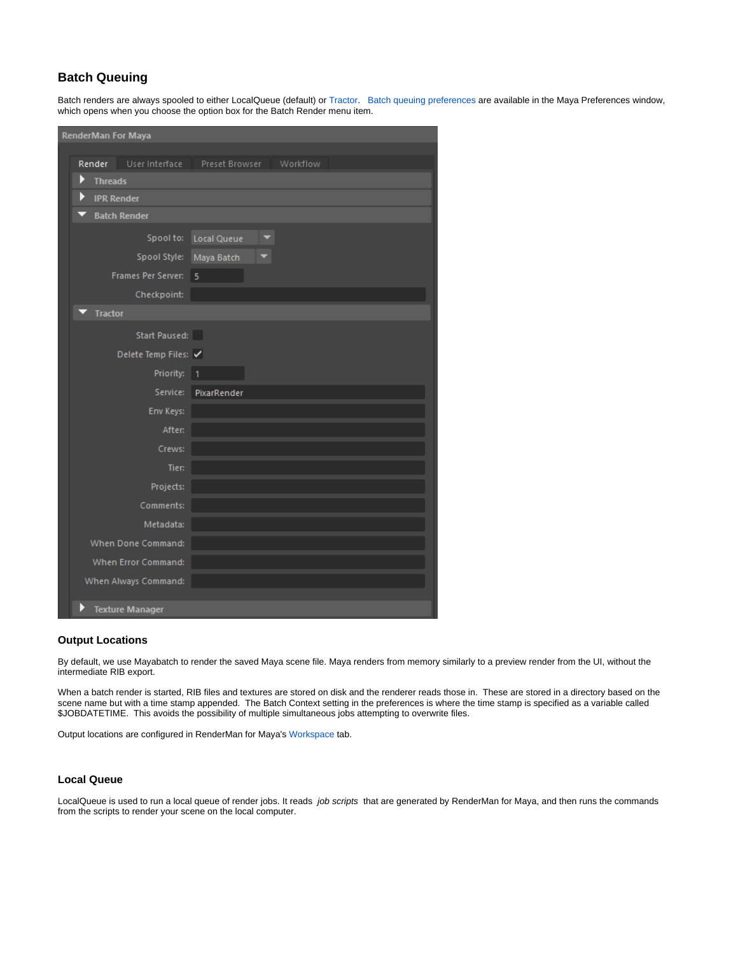# **Batch Queuing**

Batch renders are always spooled to either LocalQueue (default) or [Tractor.](https://rmanwiki.pixar.com/display/TRA/Tractor+2) [Batch queuing preferences](https://rmanwiki.pixar.com/display/RFM22/RenderMan+Preferences#RenderManPreferences-BatchPreferences) are available in the Maya Preferences window, which opens when you choose the option box for the Batch Render menu item.

| <b>RenderMan For Maya</b>                       |  |  |  |  |  |  |  |  |
|-------------------------------------------------|--|--|--|--|--|--|--|--|
| Workflow                                        |  |  |  |  |  |  |  |  |
| User Interface<br>Preset Browser<br>Render<br>Þ |  |  |  |  |  |  |  |  |
| <b>Threads</b><br>Þ<br><b>IPR Render</b>        |  |  |  |  |  |  |  |  |
| <b>Batch Render</b>                             |  |  |  |  |  |  |  |  |
|                                                 |  |  |  |  |  |  |  |  |
| Spool to:<br><b>Local Queue</b>                 |  |  |  |  |  |  |  |  |
| Spool Style:<br>Maya Batch                      |  |  |  |  |  |  |  |  |
| Frames Per Server:<br>5                         |  |  |  |  |  |  |  |  |
| Checkpoint:                                     |  |  |  |  |  |  |  |  |
| <b>Tractor</b>                                  |  |  |  |  |  |  |  |  |
| Start Paused:                                   |  |  |  |  |  |  |  |  |
| Delete Temp Files: √                            |  |  |  |  |  |  |  |  |
| Priority: 1                                     |  |  |  |  |  |  |  |  |
| Service:<br>PixarRender                         |  |  |  |  |  |  |  |  |
| Env Keys:                                       |  |  |  |  |  |  |  |  |
| After:                                          |  |  |  |  |  |  |  |  |
| Crews:                                          |  |  |  |  |  |  |  |  |
| Tier:                                           |  |  |  |  |  |  |  |  |
| Projects:                                       |  |  |  |  |  |  |  |  |
| Comments:                                       |  |  |  |  |  |  |  |  |
| Metadata:                                       |  |  |  |  |  |  |  |  |
| When Done Command:                              |  |  |  |  |  |  |  |  |
| When Error Command:                             |  |  |  |  |  |  |  |  |
| When Always Command:                            |  |  |  |  |  |  |  |  |
| Þ<br><b>Texture Manager</b>                     |  |  |  |  |  |  |  |  |

#### **Output Locations**

By default, we use Mayabatch to render the saved Maya scene file. Maya renders from memory similarly to a preview render from the UI, without the intermediate RIB export.

When a batch render is started, RIB files and textures are stored on disk and the renderer reads those in. These are stored in a directory based on the scene name but with a time stamp appended. The Batch Context setting in the preferences is where the time stamp is specified as a variable called \$JOBDATETIME. This avoids the possibility of multiple simultaneous jobs attempting to overwrite files.

Output locations are configured in RenderMan for Maya's [Workspace](https://rmanwiki.pixar.com/display/RFM22/Workspace) tab.

#### **Local Queue**

LocalQueue is used to run a local queue of render jobs. It reads job scripts that are generated by RenderMan for Maya, and then runs the commands from the scripts to render your scene on the local computer.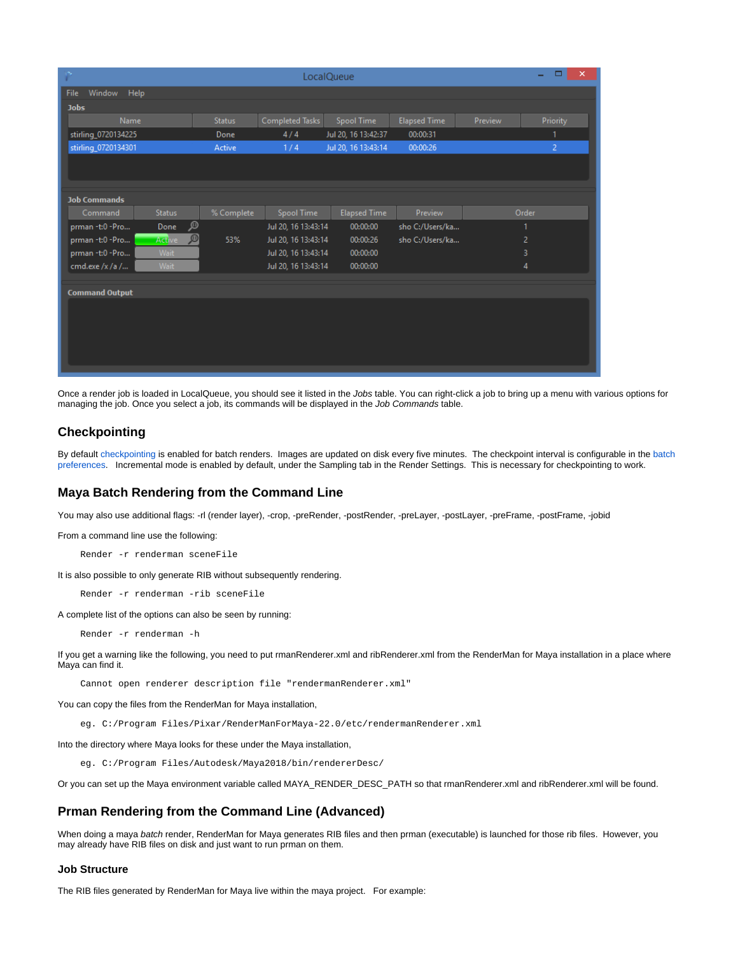| $\boldsymbol{\times}$<br>y.<br>▭<br>-<br>LocalQueue |               |                     |                     |                     |         |                |  |  |  |  |
|-----------------------------------------------------|---------------|---------------------|---------------------|---------------------|---------|----------------|--|--|--|--|
| Window Help<br><b>File</b>                          |               |                     |                     |                     |         |                |  |  |  |  |
| <b>Jobs</b>                                         |               |                     |                     |                     |         |                |  |  |  |  |
| Name                                                | <b>Status</b> | Completed Tasks     | Spool Time          | <b>Elapsed Time</b> | Preview | Priority       |  |  |  |  |
| stirling_0720134225                                 | Done          | 4/4                 | Jul 20, 16 13:42:37 | 00:00:31            |         | 1              |  |  |  |  |
| stirling_0720134301                                 | Active        | 1/4                 | Jul 20, 16 13:43:14 | 00:00:26            |         | $\overline{2}$ |  |  |  |  |
|                                                     |               |                     |                     |                     |         |                |  |  |  |  |
|                                                     |               |                     |                     |                     |         |                |  |  |  |  |
|                                                     |               |                     |                     |                     |         |                |  |  |  |  |
| <b>Job Commands</b>                                 |               |                     |                     |                     |         |                |  |  |  |  |
| <b>Status</b><br>Command                            | % Complete    | Spool Time          | <b>Elapsed Time</b> | Preview             |         | Order          |  |  |  |  |
| Done<br>prman-t:0-Pro                               | இ             | Jul 20, 16 13:43:14 | 00:00:00            | sho C:/Users/ka     |         |                |  |  |  |  |
| Active<br>prman -t:0 -Pro                           | ு<br>53%      | Jul 20, 16 13:43:14 | 00:00:26            | sho C:/Users/ka     |         | 2              |  |  |  |  |
| prman-t:0-Pro<br>Wait                               |               | Jul 20, 16 13:43:14 | 00:00:00            |                     |         | 3              |  |  |  |  |
| Wait<br>cmd.exe /x /a /                             |               | Jul 20, 16 13:43:14 | 00:00:00            |                     |         | 4              |  |  |  |  |
|                                                     |               |                     |                     |                     |         |                |  |  |  |  |
| <b>Command Output</b>                               |               |                     |                     |                     |         |                |  |  |  |  |
|                                                     |               |                     |                     |                     |         |                |  |  |  |  |
|                                                     |               |                     |                     |                     |         |                |  |  |  |  |
|                                                     |               |                     |                     |                     |         |                |  |  |  |  |
|                                                     |               |                     |                     |                     |         |                |  |  |  |  |
|                                                     |               |                     |                     |                     |         |                |  |  |  |  |
|                                                     |               |                     |                     |                     |         |                |  |  |  |  |

Once a render job is loaded in LocalQueue, you should see it listed in the Jobs table. You can right-click a job to bring up a menu with various options for managing the job. Once you select a job, its commands will be displayed in the Job Commands table.

## <span id="page-2-0"></span>**Checkpointing**

By default [checkpointing](https://rmanwiki.pixar.com/display/REN22/Checkpointing+and+Recovery) is enabled for batch renders. Images are updated on disk every five minutes. The checkpoint interval is configurable in the [batch](https://rmanwiki.pixar.com/display/RFM22/RenderMan+Preferences#RenderManPreferences-BatchPreferences)  [preferences.](https://rmanwiki.pixar.com/display/RFM22/RenderMan+Preferences#RenderManPreferences-BatchPreferences) Incremental mode is enabled by default, under the Sampling tab in the Render Settings. This is necessary for checkpointing to work.

## <span id="page-2-1"></span>**Maya Batch Rendering from the Command Line**

You may also use additional flags: -rl (render layer), -crop, -preRender, -postRender, -preLayer, -postLayer, -preFrame, -postFrame, -jobid

From a command line use the following:

Render -r renderman sceneFile

It is also possible to only generate RIB without subsequently rendering.

Render -r renderman -rib sceneFile

A complete list of the options can also be seen by running:

Render -r renderman -h

If you get a warning like the following, you need to put rmanRenderer.xml and ribRenderer.xml from the RenderMan for Maya installation in a place where Maya can find it.

Cannot open renderer description file "rendermanRenderer.xml"

You can copy the files from the RenderMan for Maya installation,

eg. C:/Program Files/Pixar/RenderManForMaya-22.0/etc/rendermanRenderer.xml

Into the directory where Maya looks for these under the Maya installation,

eg. C:/Program Files/Autodesk/Maya2018/bin/rendererDesc/

Or you can set up the Maya environment variable called MAYA\_RENDER\_DESC\_PATH so that rmanRenderer.xml and ribRenderer.xml will be found.

### <span id="page-2-2"></span>**Prman Rendering from the Command Line (Advanced)**

When doing a maya batch render, RenderMan for Maya generates RIB files and then prman (executable) is launched for those rib files. However, you may already have RIB files on disk and just want to run prman on them.

#### **Job Structure**

The RIB files generated by RenderMan for Maya live within the maya project. For example: